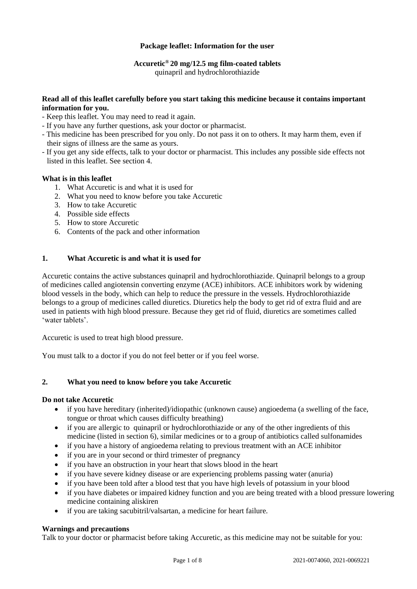# **Package leaflet: Information for the user**

# **Accuretic® 20 mg/12.5 mg film-coated tablets**

quinapril and hydrochlorothiazide

# **Read all of this leaflet carefully before you start taking this medicine because it contains important information for you.**

- Keep this leaflet. You may need to read it again.
- If you have any further questions, ask your doctor or pharmacist.
- This medicine has been prescribed for you only. Do not pass it on to others. It may harm them, even if their signs of illness are the same as yours.
- If you get any side effects, talk to your doctor or pharmacist. This includes any possible side effects not listed in this leaflet. See section 4.

# **What is in this leaflet**

- 1. What Accuretic is and what it is used for
- 2. What you need to know before you take Accuretic
- 3. How to take Accuretic
- 4. Possible side effects
- 5. How to store Accuretic
- 6. Contents of the pack and other information

# **1. What Accuretic is and what it is used for**

Accuretic contains the active substances quinapril and hydrochlorothiazide. Quinapril belongs to a group of medicines called angiotensin converting enzyme (ACE) inhibitors. ACE inhibitors work by widening blood vessels in the body, which can help to reduce the pressure in the vessels. Hydrochlorothiazide belongs to a group of medicines called diuretics. Diuretics help the body to get rid of extra fluid and are used in patients with high blood pressure. Because they get rid of fluid, diuretics are sometimes called 'water tablets'.

Accuretic is used to treat high blood pressure.

You must talk to a doctor if you do not feel better or if you feel worse.

# **2. What you need to know before you take Accuretic**

# **Do not take Accuretic**

- if you have hereditary (inherited)/idiopathic (unknown cause) angioedema (a swelling of the face, tongue or throat which causes difficulty breathing)
- if you are allergic to quinapril or hydrochlorothiazide or any of the other ingredients of this medicine (listed in section 6), similar medicines or to a group of antibiotics called sulfonamides
- if you have a history of angioedema relating to previous treatment with an ACE inhibitor
- if you are in your second or third trimester of pregnancy
- if you have an obstruction in your heart that slows blood in the heart
- if you have severe kidney disease or are experiencing problems passing water (anuria)
- if you have been told after a blood test that you have high levels of potassium in your blood
- if you have diabetes or impaired kidney function and you are being treated with a blood pressure lowering medicine containing aliskiren
- if you are taking sacubitril/valsartan, a medicine for heart failure.

# **Warnings and precautions**

Talk to your doctor or pharmacist before taking Accuretic, as this medicine may not be suitable for you: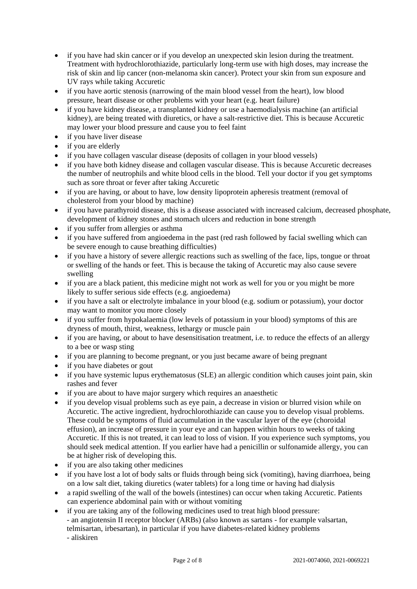- if you have had skin cancer or if you develop an unexpected skin lesion during the treatment. Treatment with hydrochlorothiazide, particularly long-term use with high doses, may increase the risk of skin and lip cancer (non-melanoma skin cancer). Protect your skin from sun exposure and UV rays while taking Accuretic
- if you have aortic stenosis (narrowing of the main blood vessel from the heart), low blood pressure, heart disease or other problems with your heart (e.g. heart failure)
- if you have kidney disease, a transplanted kidney or use a haemodialysis machine (an artificial kidney), are being treated with diuretics, or have a salt-restrictive diet. This is because Accuretic may lower your blood pressure and cause you to feel faint
- if you have liver disease
- if you are elderly
- if you have collagen vascular disease (deposits of collagen in your blood vessels)
- if you have both kidney disease and collagen vascular disease. This is because Accuretic decreases the number of neutrophils and white blood cells in the blood. Tell your doctor if you get symptoms such as sore throat or fever after taking Accuretic
- if you are having, or about to have, low density lipoprotein apheresis treatment (removal of cholesterol from your blood by machine)
- if you have parathyroid disease, this is a disease associated with increased calcium, decreased phosphate, development of kidney stones and stomach ulcers and reduction in bone strength
- if you suffer from allergies or asthma
- if you have suffered from angioedema in the past (red rash followed by facial swelling which can be severe enough to cause breathing difficulties)
- if you have a history of severe allergic reactions such as swelling of the face, lips, tongue or throat or swelling of the hands or feet. This is because the taking of Accuretic may also cause severe swelling
- if you are a black patient, this medicine might not work as well for you or you might be more likely to suffer serious side effects (e.g. angioedema)
- if you have a salt or electrolyte imbalance in your blood (e.g. sodium or potassium), your doctor may want to monitor you more closely
- if you suffer from hypokalaemia (low levels of potassium in your blood) symptoms of this are dryness of mouth, thirst, weakness, lethargy or muscle pain
- if you are having, or about to have desensitisation treatment, i.e. to reduce the effects of an allergy to a bee or wasp sting
- if you are planning to become pregnant, or you just became aware of being pregnant
- if you have diabetes or gout
- if you have systemic lupus erythematosus (SLE) an allergic condition which causes joint pain, skin rashes and fever
- if you are about to have major surgery which requires an anaesthetic
- if you develop visual problems such as eye pain, a decrease in vision or blurred vision while on Accuretic. The active ingredient, hydrochlorothiazide can cause you to develop visual problems. These could be symptoms of fluid accumulation in the vascular layer of the eye (choroidal effusion), an increase of pressure in your eye and can happen within hours to weeks of taking Accuretic. If this is not treated, it can lead to loss of vision. If you experience such symptoms, you should seek medical attention. If you earlier have had a penicillin or sulfonamide allergy, you can be at higher risk of developing this.
- if you are also taking other medicines
- if you have lost a lot of body salts or fluids through being sick (vomiting), having diarrhoea, being on a low salt diet, taking diuretics (water tablets) for a long time or having had dialysis
- a rapid swelling of the wall of the bowels (intestines) can occur when taking Accuretic. Patients can experience abdominal pain with or without vomiting
- if you are taking any of the following medicines used to treat high blood pressure: - an angiotensin II receptor blocker (ARBs) (also known as sartans - for example valsartan, telmisartan, irbesartan), in particular if you have diabetes-related kidney problems - aliskiren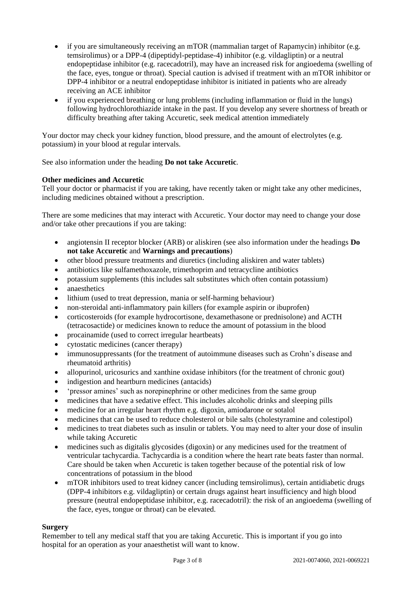- if you are simultaneously receiving an mTOR (mammalian target of Rapamycin) inhibitor (e.g. temsirolimus) or a DPP-4 (dipeptidyl-peptidase-4) inhibitor (e.g. vildagliptin) or a neutral endopeptidase inhibitor (e.g. racecadotril), may have an increased risk for angioedema (swelling of the face, eyes, tongue or throat). Special caution is advised if treatment with an mTOR inhibitor or DPP-4 inhibitor or a neutral endopeptidase inhibitor is initiated in patients who are already receiving an ACE inhibitor
- if you experienced breathing or lung problems (including inflammation or fluid in the lungs) following hydrochlorothiazide intake in the past. If you develop any severe shortness of breath or difficulty breathing after taking Accuretic, seek medical attention immediately

Your doctor may check your kidney function, blood pressure, and the amount of electrolytes (e.g. potassium) in your blood at regular intervals.

See also information under the heading **Do not take Accuretic**.

# **Other medicines and Accuretic**

Tell your doctor or pharmacist if you are taking, have recently taken or might take any other medicines, including medicines obtained without a prescription.

There are some medicines that may interact with Accuretic. Your doctor may need to change your dose and/or take other precautions if you are taking:

- angiotensin II receptor blocker (ARB) or aliskiren (see also information under the headings **Do not take Accuretic** and **Warnings and precautions**)
- other blood pressure treatments and diuretics (including aliskiren and water tablets)
- antibiotics like sulfamethoxazole, trimethoprim and tetracycline antibiotics
- potassium supplements (this includes salt substitutes which often contain potassium)
- anaesthetics
- lithium (used to treat depression, mania or self-harming behaviour)
- non-steroidal anti-inflammatory pain killers (for example aspirin or ibuprofen)
- corticosteroids (for example hydrocortisone, dexamethasone or prednisolone) and ACTH (tetracosactide) or medicines known to reduce the amount of potassium in the blood
- procainamide (used to correct irregular heartbeats)
- cytostatic medicines (cancer therapy)
- immunosuppressants (for the treatment of autoimmune diseases such as Crohn's disease and rheumatoid arthritis)
- allopurinol, uricosurics and xanthine oxidase inhibitors (for the treatment of chronic gout)
- indigestion and heartburn medicines (antacids)
- 'pressor amines' such as norepinephrine or other medicines from the same group
- medicines that have a sedative effect. This includes alcoholic drinks and sleeping pills
- medicine for an irregular heart rhythm e.g. digoxin, amiodarone or sotalol
- medicines that can be used to reduce cholesterol or bile salts (cholestyramine and colestipol)
- medicines to treat diabetes such as insulin or tablets. You may need to alter your dose of insulin while taking Accuretic
- medicines such as digitalis glycosides (digoxin) or any medicines used for the treatment of ventricular tachycardia. Tachycardia is a condition where the heart rate beats faster than normal. Care should be taken when Accuretic is taken together because of the potential risk of low concentrations of potassium in the blood
- mTOR inhibitors used to treat kidney cancer (including temsirolimus), certain antidiabetic drugs (DPP-4 inhibitors e.g. vildagliptin) or certain drugs against heart insufficiency and high blood pressure (neutral endopeptidase inhibitor, e.g. racecadotril): the risk of an angioedema (swelling of the face, eyes, tongue or throat) can be elevated.

# **Surgery**

Remember to tell any medical staff that you are taking Accuretic. This is important if you go into hospital for an operation as your anaesthetist will want to know.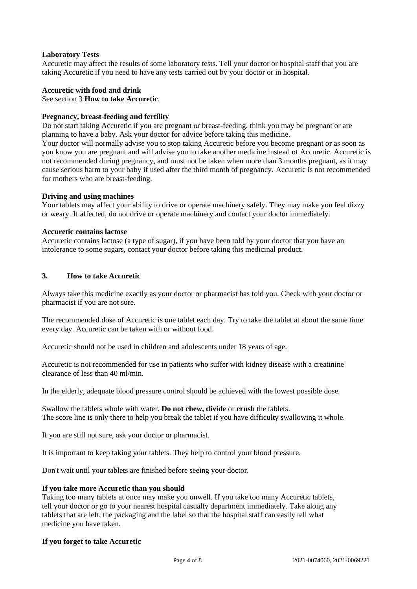### **Laboratory Tests**

Accuretic may affect the results of some laboratory tests. Tell your doctor or hospital staff that you are taking Accuretic if you need to have any tests carried out by your doctor or in hospital.

#### **Accuretic with food and drink**

See section 3 **How to take Accuretic**.

### **Pregnancy, breast-feeding and fertility**

Do not start taking Accuretic if you are pregnant or breast-feeding, think you may be pregnant or are planning to have a baby. Ask your doctor for advice before taking this medicine.

Your doctor will normally advise you to stop taking Accuretic before you become pregnant or as soon as you know you are pregnant and will advise you to take another medicine instead of Accuretic. Accuretic is not recommended during pregnancy, and must not be taken when more than 3 months pregnant, as it may cause serious harm to your baby if used after the third month of pregnancy. Accuretic is not recommended for mothers who are breast-feeding.

#### **Driving and using machines**

Your tablets may affect your ability to drive or operate machinery safely. They may make you feel dizzy or weary. If affected, do not drive or operate machinery and contact your doctor immediately.

#### **Accuretic contains lactose**

Accuretic contains lactose (a type of sugar), if you have been told by your doctor that you have an intolerance to some sugars, contact your doctor before taking this medicinal product.

#### **3. How to take Accuretic**

Always take this medicine exactly as your doctor or pharmacist has told you. Check with your doctor or pharmacist if you are not sure.

The recommended dose of Accuretic is one tablet each day. Try to take the tablet at about the same time every day. Accuretic can be taken with or without food.

Accuretic should not be used in children and adolescents under 18 years of age.

Accuretic is not recommended for use in patients who suffer with kidney disease with a creatinine clearance of less than 40 ml/min.

In the elderly, adequate blood pressure control should be achieved with the lowest possible dose*.*

Swallow the tablets whole with water. **Do not chew, divide** or **crush** the tablets. The score line is only there to help you break the tablet if you have difficulty swallowing it whole.

If you are still not sure, ask your doctor or pharmacist.

It is important to keep taking your tablets. They help to control your blood pressure.

Don't wait until your tablets are finished before seeing your doctor.

#### **If you take more Accuretic than you should**

Taking too many tablets at once may make you unwell. If you take too many Accuretic tablets, tell your doctor or go to your nearest hospital casualty department immediately. Take along any tablets that are left, the packaging and the label so that the hospital staff can easily tell what medicine you have taken.

#### **If you forget to take Accuretic**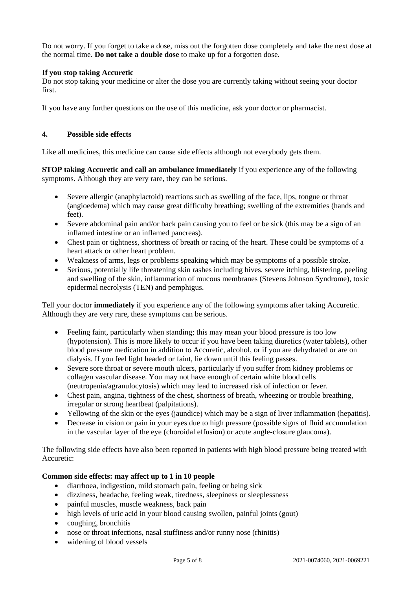Do not worry. If you forget to take a dose, miss out the forgotten dose completely and take the next dose at the normal time. **Do not take a double dose** to make up for a forgotten dose.

# **If you stop taking Accuretic**

Do not stop taking your medicine or alter the dose you are currently taking without seeing your doctor first.

If you have any further questions on the use of this medicine, ask your doctor or pharmacist.

# **4. Possible side effects**

Like all medicines, this medicine can cause side effects although not everybody gets them.

**STOP taking Accuretic and call an ambulance immediately** if you experience any of the following symptoms. Although they are very rare, they can be serious.

- Severe allergic (anaphylactoid) reactions such as swelling of the face, lips, tongue or throat (angioedema) which may cause great difficulty breathing; swelling of the extremities (hands and feet).
- Severe abdominal pain and/or back pain causing you to feel or be sick (this may be a sign of an inflamed intestine or an inflamed pancreas).
- Chest pain or tightness, shortness of breath or racing of the heart. These could be symptoms of a heart attack or other heart problem.
- Weakness of arms, legs or problems speaking which may be symptoms of a possible stroke.
- Serious, potentially life threatening skin rashes including hives, severe itching, blistering, peeling and swelling of the skin, inflammation of mucous membranes (Stevens Johnson Syndrome), toxic epidermal necrolysis (TEN) and pemphigus.

Tell your doctor **immediately** if you experience any of the following symptoms after taking Accuretic. Although they are very rare, these symptoms can be serious.

- Feeling faint, particularly when standing; this may mean your blood pressure is too low (hypotension). This is more likely to occur if you have been taking diuretics (water tablets), other blood pressure medication in addition to Accuretic, alcohol, or if you are dehydrated or are on dialysis. If you feel light headed or faint, lie down until this feeling passes.
- Severe sore throat or severe mouth ulcers, particularly if you suffer from kidney problems or collagen vascular disease. You may not have enough of certain white blood cells (neutropenia/agranulocytosis) which may lead to increased risk of infection or fever.
- Chest pain, angina, tightness of the chest, shortness of breath, wheezing or trouble breathing, irregular or strong heartbeat (palpitations).
- Yellowing of the skin or the eyes (jaundice) which may be a sign of liver inflammation (hepatitis).
- Decrease in vision or pain in your eyes due to high pressure (possible signs of fluid accumulation in the vascular layer of the eye (choroidal effusion) or acute angle-closure glaucoma).

The following side effects have also been reported in patients with high blood pressure being treated with Accuretic:

# **Common side effects: may affect up to 1 in 10 people**

- diarrhoea, indigestion, mild stomach pain, feeling or being sick
- dizziness, headache, feeling weak, tiredness, sleepiness or sleeplessness
- painful muscles, muscle weakness, back pain
- high levels of uric acid in your blood causing swollen, painful joints (gout)
- coughing, bronchitis
- nose or throat infections, nasal stuffiness and/or runny nose (rhinitis)
- widening of blood vessels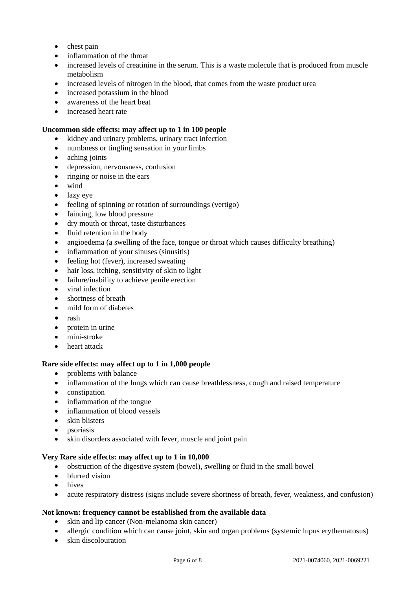- chest pain
- inflammation of the throat
- increased levels of creatinine in the serum. This is a waste molecule that is produced from muscle metabolism
- increased levels of nitrogen in the blood, that comes from the waste product urea
- increased potassium in the blood
- awareness of the heart beat
- increased heart rate

# **Uncommon side effects: may affect up to 1 in 100 people**

- kidney and urinary problems, urinary tract infection
- numbness or tingling sensation in your limbs
- aching joints
- depression, nervousness, confusion
- ringing or noise in the ears
- wind
- lazy eye
- feeling of spinning or rotation of surroundings (vertigo)
- fainting, low blood pressure
- dry mouth or throat, taste disturbances
- fluid retention in the body
- angioedema (a swelling of the face, tongue or throat which causes difficulty breathing)
- inflammation of your sinuses (sinusitis)
- feeling hot (fever), increased sweating
- hair loss, itching, sensitivity of skin to light
- failure/inability to achieve penile erection
- viral infection
- shortness of breath
- mild form of diabetes
- rash
- $\bullet$  protein in urine
- mini-stroke
- heart attack

# **Rare side effects: may affect up to 1 in 1,000 people**

- problems with balance
- inflammation of the lungs which can cause breathlessness, cough and raised temperature
- constipation
- inflammation of the tongue
- inflammation of blood vessels
- skin blisters
- psoriasis
- skin disorders associated with fever, muscle and joint pain

# **Very Rare side effects: may affect up to 1 in 10,000**

- obstruction of the digestive system (bowel), swelling or fluid in the small bowel
- blurred vision
- hives
- acute respiratory distress (signs include severe shortness of breath, fever, weakness, and confusion)

# **Not known: frequency cannot be established from the available data**

- skin and lip cancer (Non-melanoma skin cancer)
- allergic condition which can cause joint, skin and organ problems (systemic lupus erythematosus)
- skin discolouration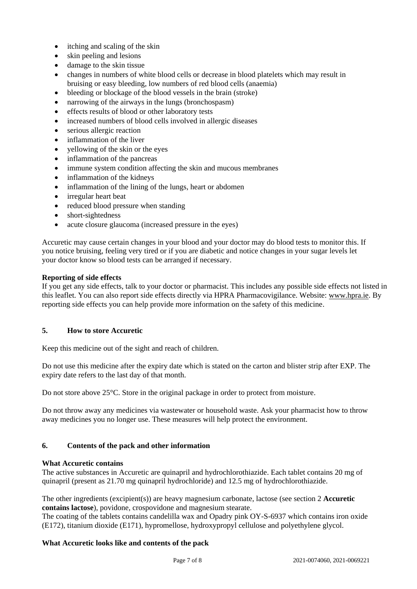- itching and scaling of the skin
- skin peeling and lesions
- damage to the skin tissue
- changes in numbers of white blood cells or decrease in blood platelets which may result in bruising or easy bleeding, low numbers of red blood cells (anaemia)
- bleeding or blockage of the blood vessels in the brain (stroke)
- narrowing of the airways in the lungs (bronchospasm)
- effects results of blood or other laboratory tests
- increased numbers of blood cells involved in allergic diseases
- serious allergic reaction
- inflammation of the liver
- yellowing of the skin or the eyes
- inflammation of the pancreas
- immune system condition affecting the skin and mucous membranes
- inflammation of the kidneys
- inflammation of the lining of the lungs, heart or abdomen
- irregular heart beat
- reduced blood pressure when standing
- short-sightedness
- acute closure glaucoma (increased pressure in the eyes)

Accuretic may cause certain changes in your blood and your doctor may do blood tests to monitor this. If you notice bruising, feeling very tired or if you are diabetic and notice changes in your sugar levels let your doctor know so blood tests can be arranged if necessary.

# **Reporting of side effects**

If you get any side effects, talk to your doctor or pharmacist. This includes any possible side effects not listed in this leaflet. You can also report side effects directly via HPRA Pharmacovigilance. Website: [www.hpra.ie.](http://www.hpra.ie/) By reporting side effects you can help provide more information on the safety of this medicine.

# **5. How to store Accuretic**

Keep this medicine out of the sight and reach of children.

Do not use this medicine after the expiry date which is stated on the carton and blister strip after EXP. The expiry date refers to the last day of that month.

Do not store above 25°C. Store in the original package in order to protect from moisture.

Do not throw away any medicines via wastewater or household waste. Ask your pharmacist how to throw away medicines you no longer use. These measures will help protect the environment.

# **6. Contents of the pack and other information**

# **What Accuretic contains**

The active substances in Accuretic are quinapril and hydrochlorothiazide. Each tablet contains 20 mg of quinapril (present as 21.70 mg quinapril hydrochloride) and 12.5 mg of hydrochlorothiazide.

The other ingredients (excipient(s)) are heavy magnesium carbonate, lactose (see section 2 **Accuretic contains lactose**), povidone, crospovidone and magnesium stearate.

The coating of the tablets contains candelilla wax and Opadry pink OY-S-6937 which contains iron oxide (E172), titanium dioxide (E171), hypromellose, hydroxypropyl cellulose and polyethylene glycol.

# **What Accuretic looks like and contents of the pack**